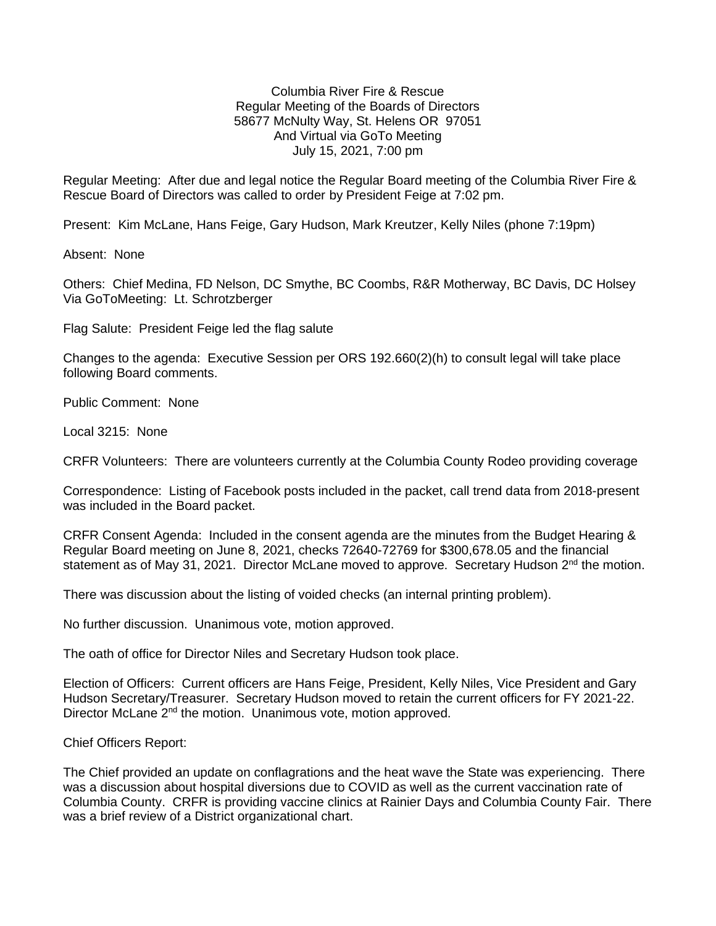Columbia River Fire & Rescue Regular Meeting of the Boards of Directors 58677 McNulty Way, St. Helens OR 97051 And Virtual via GoTo Meeting July 15, 2021, 7:00 pm

Regular Meeting: After due and legal notice the Regular Board meeting of the Columbia River Fire & Rescue Board of Directors was called to order by President Feige at 7:02 pm.

Present: Kim McLane, Hans Feige, Gary Hudson, Mark Kreutzer, Kelly Niles (phone 7:19pm)

Absent: None

Others: Chief Medina, FD Nelson, DC Smythe, BC Coombs, R&R Motherway, BC Davis, DC Holsey Via GoToMeeting: Lt. Schrotzberger

Flag Salute: President Feige led the flag salute

Changes to the agenda: Executive Session per ORS 192.660(2)(h) to consult legal will take place following Board comments.

Public Comment: None

Local 3215: None

CRFR Volunteers: There are volunteers currently at the Columbia County Rodeo providing coverage

Correspondence: Listing of Facebook posts included in the packet, call trend data from 2018-present was included in the Board packet.

CRFR Consent Agenda: Included in the consent agenda are the minutes from the Budget Hearing & Regular Board meeting on June 8, 2021, checks 72640-72769 for \$300,678.05 and the financial statement as of May 31, 2021. Director McLane moved to approve. Secretary Hudson 2<sup>nd</sup> the motion.

There was discussion about the listing of voided checks (an internal printing problem).

No further discussion. Unanimous vote, motion approved.

The oath of office for Director Niles and Secretary Hudson took place.

Election of Officers: Current officers are Hans Feige, President, Kelly Niles, Vice President and Gary Hudson Secretary/Treasurer. Secretary Hudson moved to retain the current officers for FY 2021-22. Director McLane 2<sup>nd</sup> the motion. Unanimous vote, motion approved.

Chief Officers Report:

The Chief provided an update on conflagrations and the heat wave the State was experiencing. There was a discussion about hospital diversions due to COVID as well as the current vaccination rate of Columbia County. CRFR is providing vaccine clinics at Rainier Days and Columbia County Fair. There was a brief review of a District organizational chart.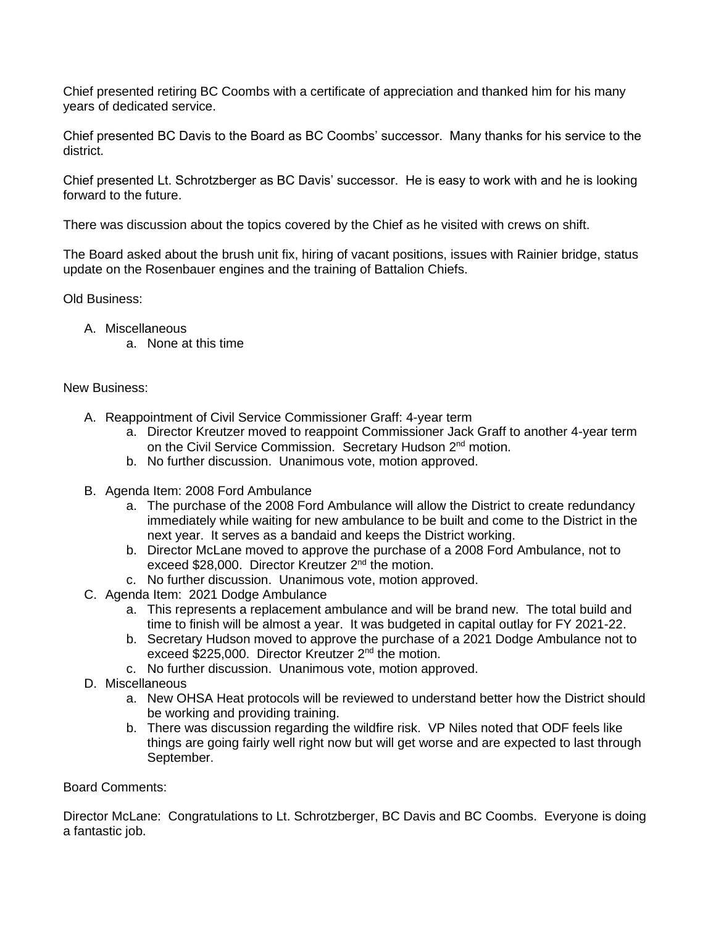Chief presented retiring BC Coombs with a certificate of appreciation and thanked him for his many years of dedicated service.

Chief presented BC Davis to the Board as BC Coombs' successor. Many thanks for his service to the district.

Chief presented Lt. Schrotzberger as BC Davis' successor. He is easy to work with and he is looking forward to the future.

There was discussion about the topics covered by the Chief as he visited with crews on shift.

The Board asked about the brush unit fix, hiring of vacant positions, issues with Rainier bridge, status update on the Rosenbauer engines and the training of Battalion Chiefs.

Old Business:

- A. Miscellaneous
	- a. None at this time

## New Business:

- A. Reappointment of Civil Service Commissioner Graff: 4-year term
	- a. Director Kreutzer moved to reappoint Commissioner Jack Graff to another 4-year term on the Civil Service Commission. Secretary Hudson 2<sup>nd</sup> motion.
	- b. No further discussion. Unanimous vote, motion approved.
- B. Agenda Item: 2008 Ford Ambulance
	- a. The purchase of the 2008 Ford Ambulance will allow the District to create redundancy immediately while waiting for new ambulance to be built and come to the District in the next year. It serves as a bandaid and keeps the District working.
	- b. Director McLane moved to approve the purchase of a 2008 Ford Ambulance, not to exceed \$28,000. Director Kreutzer 2<sup>nd</sup> the motion.
	- c. No further discussion. Unanimous vote, motion approved.
- C. Agenda Item: 2021 Dodge Ambulance
	- a. This represents a replacement ambulance and will be brand new. The total build and time to finish will be almost a year. It was budgeted in capital outlay for FY 2021-22.
	- b. Secretary Hudson moved to approve the purchase of a 2021 Dodge Ambulance not to exceed \$225,000. Director Kreutzer 2<sup>nd</sup> the motion.
	- c. No further discussion. Unanimous vote, motion approved.
- D. Miscellaneous
	- a. New OHSA Heat protocols will be reviewed to understand better how the District should be working and providing training.
	- b. There was discussion regarding the wildfire risk. VP Niles noted that ODF feels like things are going fairly well right now but will get worse and are expected to last through September.

Board Comments:

Director McLane: Congratulations to Lt. Schrotzberger, BC Davis and BC Coombs. Everyone is doing a fantastic job.